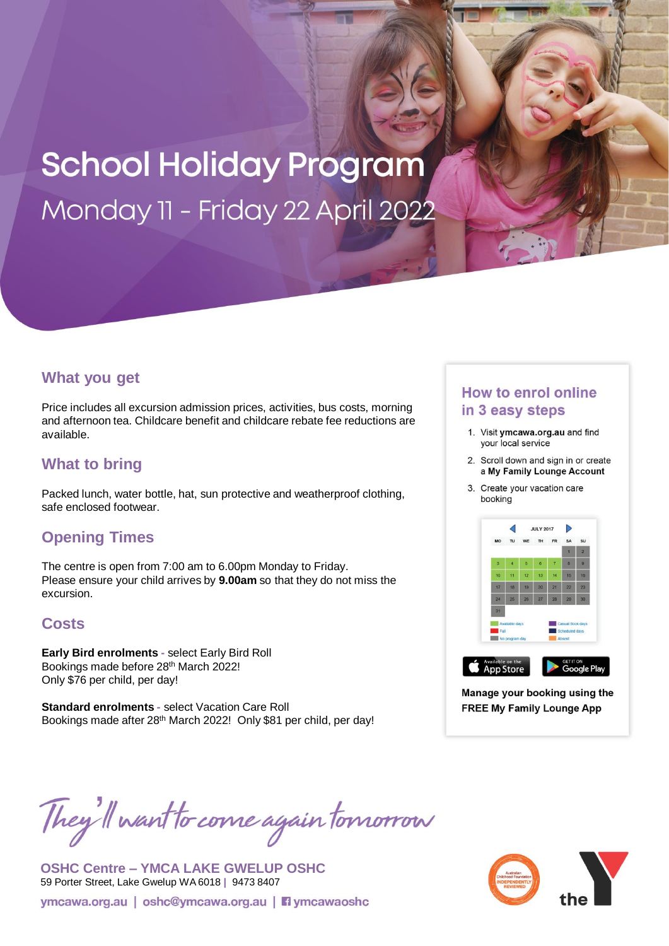# **School Holiday Program** Monday 11 - Friday 22 April 2022

#### **What you get**

Price includes all excursion admission prices, activities, bus costs, morning and afternoon tea. Childcare benefit and childcare rebate fee reductions are available.

## **What to bring**

Packed lunch, water bottle, hat, sun protective and weatherproof clothing, safe enclosed footwear.

# **Opening Times**

The centre is open from 7:00 am to 6.00pm Monday to Friday. Please ensure your child arrives by **9.00am** so that they do not miss the excursion.

## **Costs**

**Early Bird enrolments -** select Early Bird Roll Bookings made before 28th March 2022! Only \$76 per child, per day!

**Standard enrolments -** select Vacation Care Roll Bookings made after 28<sup>th</sup> March 2022! Only \$81 per child, per day!

### **How to enrol online** in 3 easy steps

- 1. Visit ymcawa.org.au and find your local service
- 2. Scroll down and sign in or create a My Family Lounge Account
- 3. Create your vacation care booking



Manage your booking using the **FREE My Family Lounge App** 

They'll want to come again tomorrow

**OSHC Centre – YMCA LAKE GWELUP OSHC**  59 Porter Street, Lake Gwelup WA 6018 **|** 9473 8407ymcawa.org.au | oshc@ymcawa.org.au | i ymcawaoshc